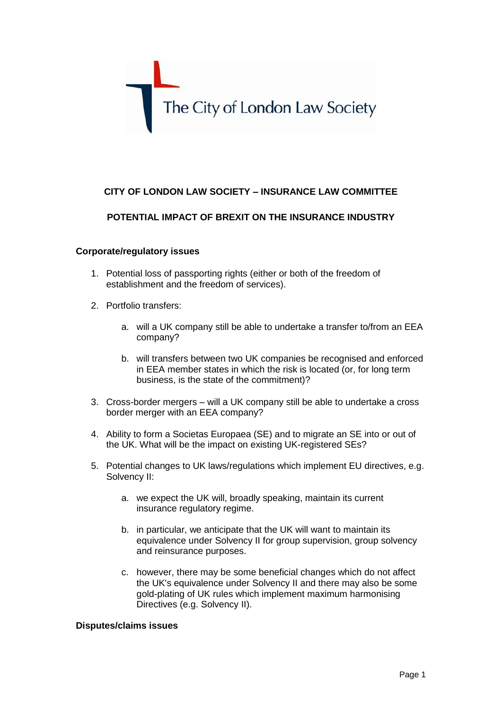

# **CITY OF LONDON LAW SOCIETY – INSURANCE LAW COMMITTEE**

## **POTENTIAL IMPACT OF BREXIT ON THE INSURANCE INDUSTRY**

#### **Corporate/regulatory issues**

- 1. Potential loss of passporting rights (either or both of the freedom of establishment and the freedom of services).
- 2. Portfolio transfers:
	- a. will a UK company still be able to undertake a transfer to/from an EEA company?
	- b. will transfers between two UK companies be recognised and enforced in EEA member states in which the risk is located (or, for long term business, is the state of the commitment)?
- 3. Cross-border mergers will a UK company still be able to undertake a cross border merger with an EEA company?
- 4. Ability to form a Societas Europaea (SE) and to migrate an SE into or out of the UK. What will be the impact on existing UK-registered SEs?
- 5. Potential changes to UK laws/regulations which implement EU directives, e.g. Solvency II:
	- a. we expect the UK will, broadly speaking, maintain its current insurance regulatory regime.
	- b. in particular, we anticipate that the UK will want to maintain its equivalence under Solvency II for group supervision, group solvency and reinsurance purposes.
	- c. however, there may be some beneficial changes which do not affect the UK's equivalence under Solvency II and there may also be some gold-plating of UK rules which implement maximum harmonising Directives (e.g. Solvency II).

#### **Disputes/claims issues**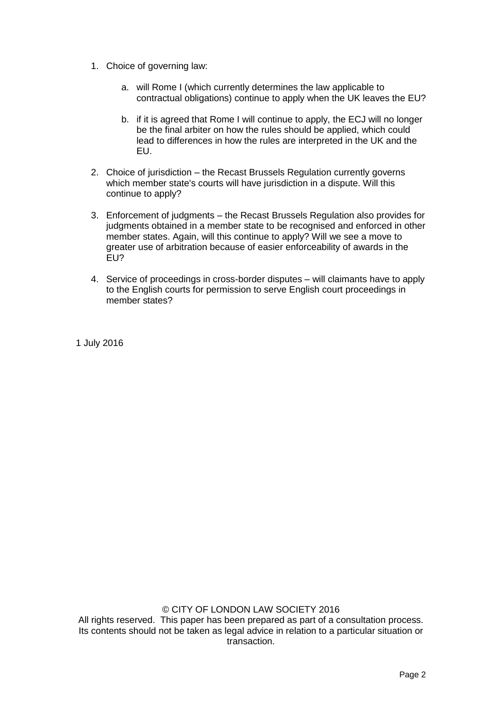- 1. Choice of governing law:
	- a. will Rome I (which currently determines the law applicable to contractual obligations) continue to apply when the UK leaves the EU?
	- b. if it is agreed that Rome I will continue to apply, the ECJ will no longer be the final arbiter on how the rules should be applied, which could lead to differences in how the rules are interpreted in the UK and the EU.
- 2. Choice of jurisdiction the Recast Brussels Regulation currently governs which member state's courts will have jurisdiction in a dispute. Will this continue to apply?
- 3. Enforcement of judgments the Recast Brussels Regulation also provides for judgments obtained in a member state to be recognised and enforced in other member states. Again, will this continue to apply? Will we see a move to greater use of arbitration because of easier enforceability of awards in the EU?
- 4. Service of proceedings in cross-border disputes will claimants have to apply to the English courts for permission to serve English court proceedings in member states?

1 July 2016

© CITY OF LONDON LAW SOCIETY 2016 All rights reserved. This paper has been prepared as part of a consultation process. Its contents should not be taken as legal advice in relation to a particular situation or transaction.